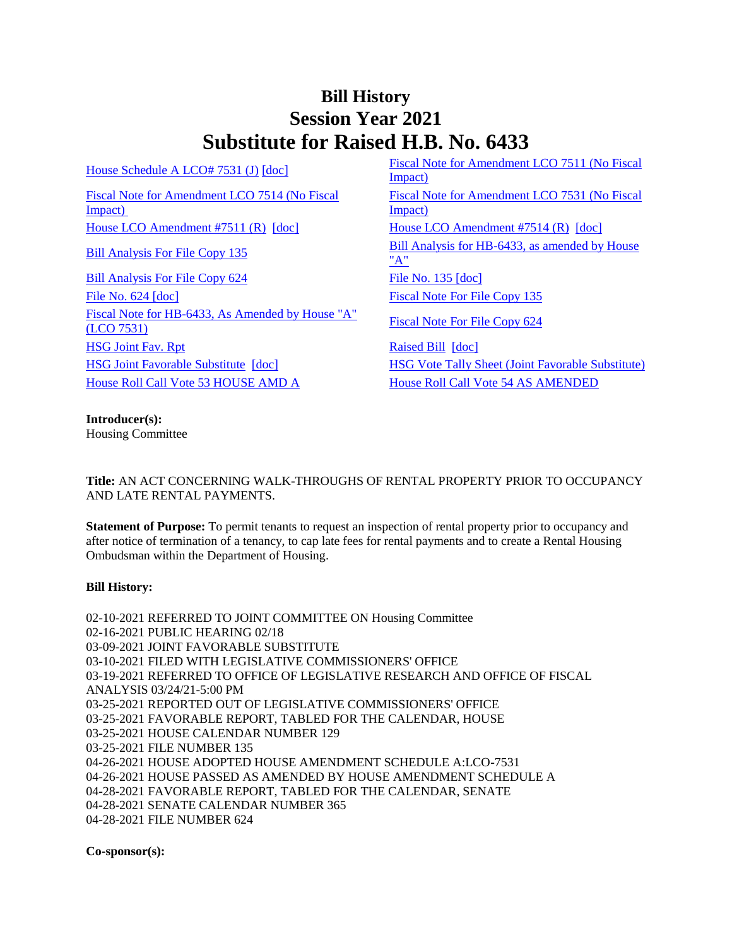## **Bill History Session Year 2021 Substitute for Raised H.B. No. 6433**

[Fiscal Note for Amendment LCO 7514 \(No Fiscal](/2021/fna/pdf/2021HB-06433-R00LCO07514-FNA.PDF)  [Impact\)](/2021/fna/pdf/2021HB-06433-R00LCO07514-FNA.PDF) 

[Bill Analysis For File Copy 624](/2021/BA/PDF/2021HB-06433-R010624-BA.PDF) [File No. 135](/2021/FC/PDF/2021HB-06433-R000135-FC.PDF) [\[doc\]](/2021/FC/PDF/2021HB-06433-R000135-FC.PDF) [File No. 624](/2021/FC/PDF/2021HB-06433-R000624-FC.PDF) [\[doc\]](/2021/FC/PDF/2021HB-06433-R000624-FC.PDF) [Fiscal Note For File Copy 135](/2021/FN/PDF/2021HB-06433-R000135-FN.PDF) [Fiscal Note for HB-6433, As Amended by House "A"](/2021/FN/PDF/2021HB-06433-R01-FN.PDF)  Fiscal Note For File Copy 624<br>[\(LCO 7531\)](/2021/FN/PDF/2021HB-06433-R01-FN.PDF) [Fiscal Note For File Copy 624](/2021/FN/PDF/2021HB-06433-R010624-FN.PDF) [HSG Joint Fav. Rpt](/2021/JFR/H/PDF/2021HB-06433-R00HSG-JFR.PDF) [Raised Bill](/2021/TOB/H/PDF/2021HB-06433-R00-HB.PDF) [\[doc\]](https://search.cga.state.ct.us/dl2021/TOB/DOC/2021HB-06433-R00-HB.DOCX) [HSG Joint Favorable Substitute](/2021/TOB/H/PDF/2021HB-06433-R01-HB.PDF) [\[doc\]](https://search.cga.state.ct.us/dl2021/TOB/DOC/2021HB-06433-R01-HB.DOCX) [HSG Vote Tally Sheet \(Joint Favorable Substitute\)](/2021/TS/H/PDF/2021HB-06433-R00HSG-CV61-TS.PDF) [House Roll Call Vote 53 HOUSE AMD A](/2021/VOTE/H/PDF/2021HV-00053-R00HB06433-HV.PDF) [House Roll Call Vote 54 AS AMENDED](/2021/VOTE/H/PDF/2021HV-00054-R00HB06433-HV.PDF) 

[House Schedule A LCO# 7531 \(J\)](/2021/amd/H/pdf/2021HB-06433-R00HA-AMD.pdf)  $[doc]$  Fiscal Note for Amendment LCO 7511 (No Fiscal [Impact\)](/2021/fna/pdf/2021HB-06433-R00LCO07511-FNA.PDF)  [Fiscal Note for Amendment LCO 7531 \(No Fiscal](/2021/fna/pdf/2021HB-06433-R00LCO07531-FNA.PDF)  [Impact\)](/2021/fna/pdf/2021HB-06433-R00LCO07531-FNA.PDF)  [House LCO Amendment #7511 \(R\)](/2021/lcoamd/pdf/2021LCO07511-R00-AMD.pdf) [\[doc\]](https://search.cga.state.ct.us/dl2021/aml/doc/2021LCO07511-R00-AMD.docx) [House LCO Amendment #7514 \(R\)](/2021/lcoamd/pdf/2021LCO07514-R00-AMD.pdf) [\[doc\]](https://search.cga.state.ct.us/dl2021/aml/doc/2021LCO07514-R00-AMD.docx) [Bill Analysis For File Copy 135](/2021/BA/PDF/2021HB-06433-R000135-BA.PDF) Bill Analysis for HB-6433, as amended by House ["A"](/2021/BA/PDF/2021HB-06433-R01-BA.PDF)

**Introducer(s):** Housing Committee

**Title:** AN ACT CONCERNING WALK-THROUGHS OF RENTAL PROPERTY PRIOR TO OCCUPANCY AND LATE RENTAL PAYMENTS.

**Statement of Purpose:** To permit tenants to request an inspection of rental property prior to occupancy and after notice of termination of a tenancy, to cap late fees for rental payments and to create a Rental Housing Ombudsman within the Department of Housing.

## **Bill History:**

02-10-2021 REFERRED TO JOINT COMMITTEE ON Housing Committee 02-16-2021 PUBLIC HEARING 02/18 03-09-2021 JOINT FAVORABLE SUBSTITUTE 03-10-2021 FILED WITH LEGISLATIVE COMMISSIONERS' OFFICE 03-19-2021 REFERRED TO OFFICE OF LEGISLATIVE RESEARCH AND OFFICE OF FISCAL ANALYSIS 03/24/21-5:00 PM 03-25-2021 REPORTED OUT OF LEGISLATIVE COMMISSIONERS' OFFICE 03-25-2021 FAVORABLE REPORT, TABLED FOR THE CALENDAR, HOUSE 03-25-2021 HOUSE CALENDAR NUMBER 129 03-25-2021 FILE NUMBER 135 04-26-2021 HOUSE ADOPTED HOUSE AMENDMENT SCHEDULE A:LCO-7531 04-26-2021 HOUSE PASSED AS AMENDED BY HOUSE AMENDMENT SCHEDULE A 04-28-2021 FAVORABLE REPORT, TABLED FOR THE CALENDAR, SENATE 04-28-2021 SENATE CALENDAR NUMBER 365 04-28-2021 FILE NUMBER 624

**Co-sponsor(s):**